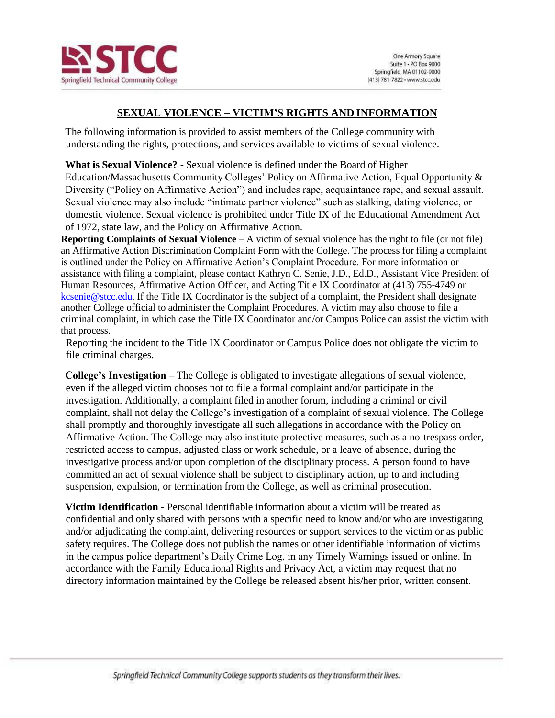

# **SEXUAL VIOLENCE – VICTIM'S RIGHTS AND INFORMATION**

The following information is provided to assist members of the College community with understanding the rights, protections, and services available to victims of sexual violence.

**What is Sexual Violence?** - Sexual violence is defined under the Board of Higher Education/Massachusetts Community Colleges' Policy on Affirmative Action, Equal Opportunity & Diversity ("Policy on Affirmative Action") and includes rape, acquaintance rape, and sexual assault. Sexual violence may also include "intimate partner violence" such as stalking, dating violence, or domestic violence. Sexual violence is prohibited under Title IX of the Educational Amendment Act of 1972, state law, and the Policy on Affirmative Action.

**Reporting Complaints of Sexual Violence** – A victim of sexual violence has the right to file (or not file) an Affirmative Action Discrimination Complaint Form with the College. The process for filing a complaint is outlined under the Policy on Affirmative Action's Complaint Procedure. For more information or assistance with filing a complaint, please contact Kathryn C. Senie, J.D., Ed.D., Assistant Vice President of Human Resources, Affirmative Action Officer, and Acting Title IX Coordinator at (413) 755-4749 or [kcsenie@stcc.edu](mailto:kcsenie@stcc.edu). If the Title IX Coordinator is the subject of a complaint, the President shall designate another College official to administer the Complaint Procedures. A victim may also choose to file a criminal complaint, in which case the Title IX Coordinator and/or Campus Police can assist the victim with that process.

Reporting the incident to the Title IX Coordinator or Campus Police does not obligate the victim to file criminal charges.

**College's Investigation** – The College is obligated to investigate allegations of sexual violence, even if the alleged victim chooses not to file a formal complaint and/or participate in the investigation. Additionally, a complaint filed in another forum, including a criminal or civil complaint, shall not delay the College's investigation of a complaint of sexual violence. The College shall promptly and thoroughly investigate all such allegations in accordance with the Policy on Affirmative Action. The College may also institute protective measures, such as a no-trespass order, restricted access to campus, adjusted class or work schedule, or a leave of absence, during the investigative process and/or upon completion of the disciplinary process. A person found to have committed an act of sexual violence shall be subject to disciplinary action, up to and including suspension, expulsion, or termination from the College, as well as criminal prosecution.

**Victim Identification** - Personal identifiable information about a victim will be treated as confidential and only shared with persons with a specific need to know and/or who are investigating and/or adjudicating the complaint, delivering resources or support services to the victim or as public safety requires. The College does not publish the names or other identifiable information of victims in the campus police department's Daily Crime Log, in any Timely Warnings issued or online. In accordance with the Family Educational Rights and Privacy Act, a victim may request that no directory information maintained by the College be released absent his/her prior, written consent.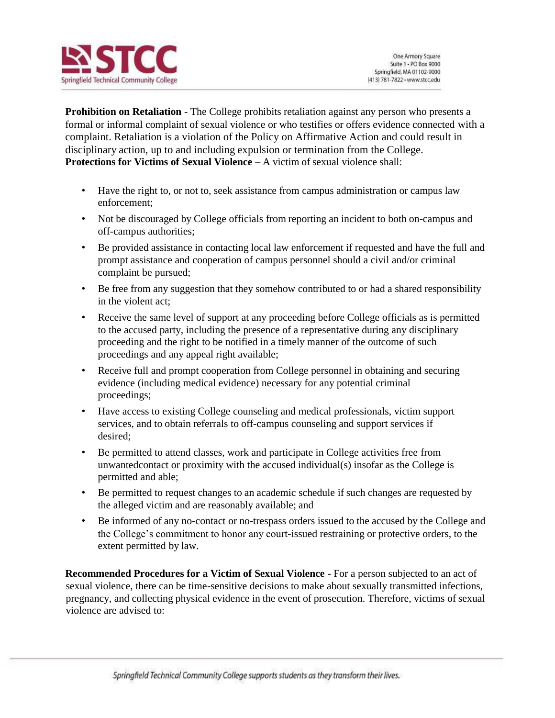

**Prohibition on Retaliation** - The College prohibits retaliation against any person who presents a formal or informal complaint of sexual violence or who testifies or offers evidence connected with a complaint. Retaliation is a violation of the Policy on Affirmative Action and could result in disciplinary action, up to and including expulsion or termination from the College. **Protections for Victims of Sexual Violence –** A victim of sexual violence shall:

- Have the right to, or not to, seek assistance from campus administration or campus law enforcement;
- Not be discouraged by College officials from reporting an incident to both on-campus and off-campus authorities;
- Be provided assistance in contacting local law enforcement if requested and have the full and prompt assistance and cooperation of campus personnel should a civil and/or criminal complaint be pursued;
- Be free from any suggestion that they somehow contributed to or had a shared responsibility in the violent act;
- Receive the same level of support at any proceeding before College officials as is permitted to the accused party, including the presence of a representative during any disciplinary proceeding and the right to be notified in a timely manner of the outcome of such proceedings and any appeal right available;
- Receive full and prompt cooperation from College personnel in obtaining and securing evidence (including medical evidence) necessary for any potential criminal proceedings;
- Have access to existing College counseling and medical professionals, victim support services, and to obtain referrals to off-campus counseling and support services if desired;
- Be permitted to attend classes, work and participate in College activities free from unwantedcontact or proximity with the accused individual(s) insofar as the College is permitted and able;
- Be permitted to request changes to an academic schedule if such changes are requested by the alleged victim and are reasonably available; and
- Be informed of any no-contact or no-trespass orders issued to the accused by the College and the College's commitment to honor any court-issued restraining or protective orders, to the extent permitted by law.

**Recommended Procedures for a Victim of Sexual Violence -** For a person subjected to an act of sexual violence, there can be time-sensitive decisions to make about sexually transmitted infections, pregnancy, and collecting physical evidence in the event of prosecution. Therefore, victims of sexual violence are advised to: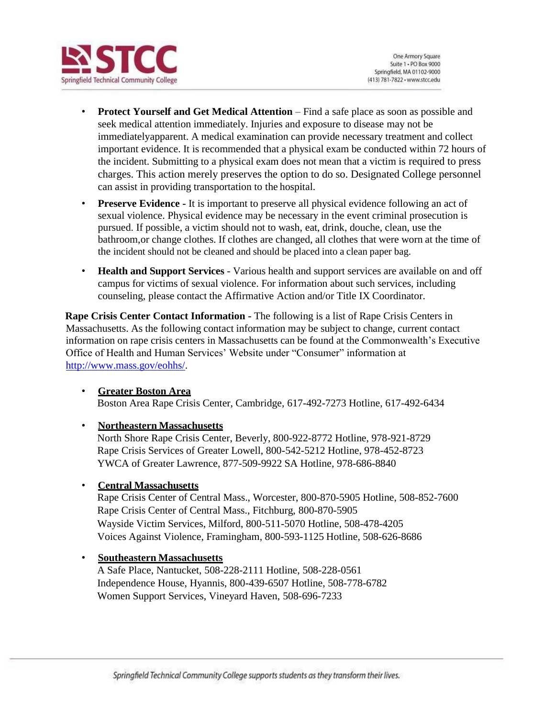

- **Protect Yourself and Get Medical Attention**  Find a safe place as soon as possible and seek medical attention immediately. Injuries and exposure to disease may not be immediatelyapparent. A medical examination can provide necessary treatment and collect important evidence. It is recommended that a physical exam be conducted within 72 hours of the incident. Submitting to a physical exam does not mean that a victim is required to press charges. This action merely preserves the option to do so. Designated College personnel can assist in providing transportation to the hospital.
- **Preserve Evidence -** It is important to preserve all physical evidence following an act of sexual violence. Physical evidence may be necessary in the event criminal prosecution is pursued. If possible, a victim should not to wash, eat, drink, douche, clean, use the bathroom,or change clothes. If clothes are changed, all clothes that were worn at the time of the incident should not be cleaned and should be placed into a clean paper bag.
- **Health and Support Services**  Various health and support services are available on and off campus for victims of sexual violence. For information about such services, including counseling, please contact the Affirmative Action and/or Title IX Coordinator.

**Rape Crisis Center Contact Information -** The following is a list of Rape Crisis Centers in Massachusetts. As the following contact information may be subject to change, current contact information on rape crisis centers in Massachusetts can be found at the Commonwealth's Executive Office of Health and Human Services' Website under "Consumer" information at [http://www.mass.gov/eohhs/.](http://www.mass.gov/eohhs/)

• **Greater Boston Area** Boston Area Rape Crisis Center, Cambridge, 617-492-7273 Hotline, 617-492-6434

## • **Northeastern Massachusetts**

North Shore Rape Crisis Center, Beverly, 800-922-8772 Hotline, 978-921-8729 Rape Crisis Services of Greater Lowell, 800-542-5212 Hotline, 978-452-8723 YWCA of Greater Lawrence, 877-509-9922 SA Hotline, 978-686-8840

### • **Central Massachusetts**

Rape Crisis Center of Central Mass., Worcester, 800-870-5905 Hotline, 508-852-7600 Rape Crisis Center of Central Mass., Fitchburg, 800-870-5905 Wayside Victim Services, Milford, 800-511-5070 Hotline, 508-478-4205 Voices Against Violence, Framingham, 800-593-1125 Hotline, 508-626-8686

#### • **Southeastern Massachusetts**

A Safe Place, Nantucket, 508-228-2111 Hotline, 508-228-0561 Independence House, Hyannis, 800-439-6507 Hotline, 508-778-6782 Women Support Services, Vineyard Haven, 508-696-7233